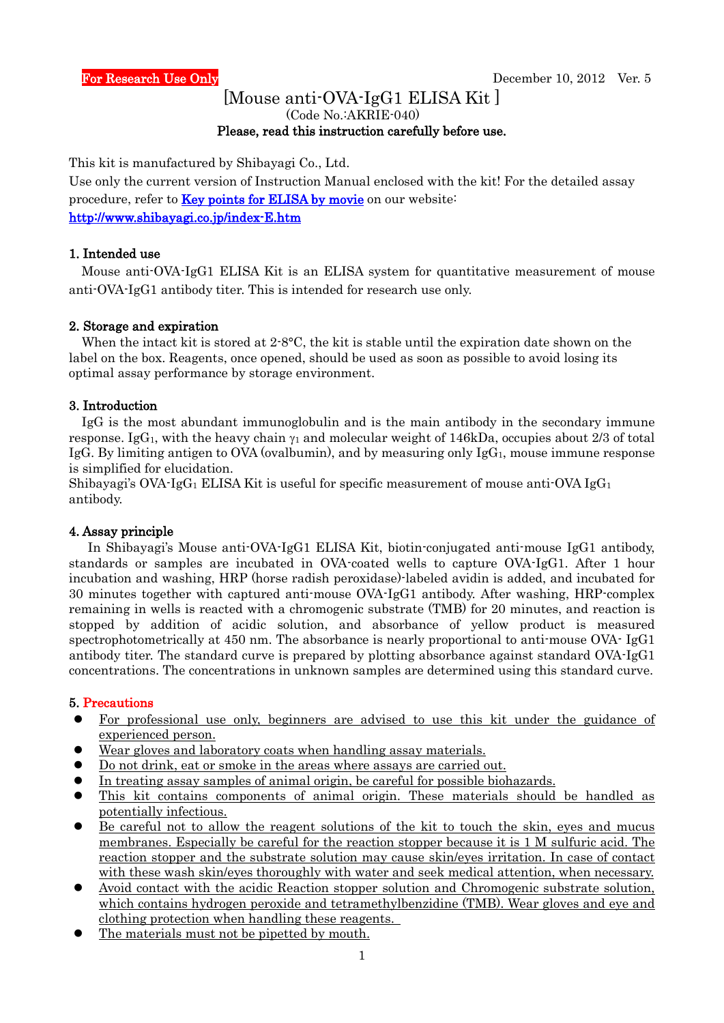## [Mouse anti-OVA-IgG1 ELISA Kit ] (Code No.:AKRIE-040) Please, read this instruction carefully before use.

This kit is manufactured by Shibayagi Co., Ltd.

Use only the current version of Instruction Manual enclosed with the kit! For the detailed assay procedure, refer to **Key points for ELISA by movie** on our website: <http://www.shibayagi.co.jp/index-E.htm>

## 1. Intended use

Mouse anti-OVA-IgG1 ELISA Kit is an ELISA system for quantitative measurement of mouse anti-OVA-IgG1 antibody titer. This is intended for research use only.

#### 2. Storage and expiration

When the intact kit is stored at  $2.8$ °C, the kit is stable until the expiration date shown on the label on the box. Reagents, once opened, should be used as soon as possible to avoid losing its optimal assay performance by storage environment.

## 3. Introduction

IgG is the most abundant immunoglobulin and is the main antibody in the secondary immune response. IgG<sub>1</sub>, with the heavy chain  $\gamma_1$  and molecular weight of 146kDa, occupies about 2/3 of total IgG. By limiting antigen to OVA (ovalbumin), and by measuring only  $IgG_1$ , mouse immune response is simplified for elucidation.

Shibayagi's OVA-IgG<sub>1</sub> ELISA Kit is useful for specific measurement of mouse anti-OVA IgG<sub>1</sub> antibody.

## 4. Assay principle

 In Shibayagi's Mouse anti-OVA-IgG1 ELISA Kit, biotin-conjugated anti-mouse IgG1 antibody, standards or samples are incubated in OVA-coated wells to capture OVA-IgG1. After 1 hour incubation and washing, HRP (horse radish peroxidase)-labeled avidin is added, and incubated for 30 minutes together with captured anti-mouse OVA-IgG1 antibody. After washing, HRP-complex remaining in wells is reacted with a chromogenic substrate (TMB) for 20 minutes, and reaction is stopped by addition of acidic solution, and absorbance of yellow product is measured spectrophotometrically at 450 nm. The absorbance is nearly proportional to anti-mouse OVA- IgG1 antibody titer. The standard curve is prepared by plotting absorbance against standard OVA-IgG1 concentrations. The concentrations in unknown samples are determined using this standard curve.

## 5. Precautions

- For professional use only, beginners are advised to use this kit under the guidance of experienced person.
- Wear gloves and laboratory coats when handling assay materials.
- Do not drink, eat or smoke in the areas where assays are carried out.
- In treating assay samples of animal origin, be careful for possible biohazards.
- This kit contains components of animal origin. These materials should be handled as potentially infectious.
- Be careful not to allow the reagent solutions of the kit to touch the skin, eyes and mucus membranes. Especially be careful for the reaction stopper because it is 1 M sulfuric acid. The reaction stopper and the substrate solution may cause skin/eyes irritation. In case of contact with these wash skin/eyes thoroughly with water and seek medical attention, when necessary.
- Avoid contact with the acidic Reaction stopper solution and Chromogenic substrate solution, which contains hydrogen peroxide and tetramethylbenzidine (TMB). Wear gloves and eye and clothing protection when handling these reagents.
- The materials must not be pipetted by mouth.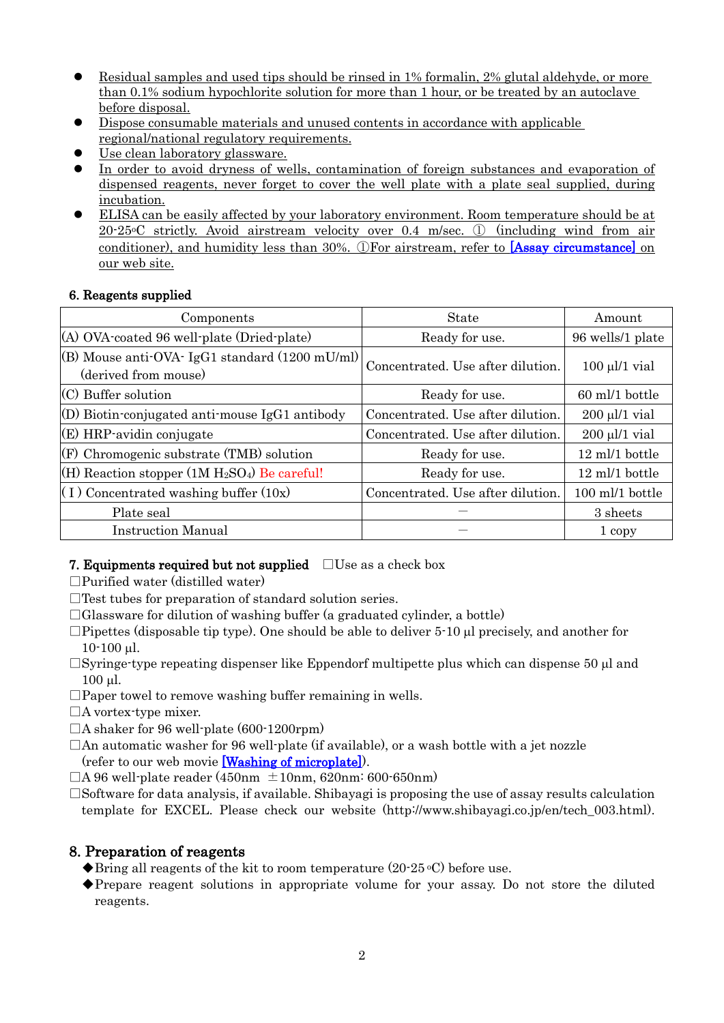- Residual samples and used tips should be rinsed in 1% formalin, 2% glutal aldehyde, or more than 0.1% sodium hypochlorite solution for more than 1 hour, or be treated by an autoclave before disposal.
- Dispose consumable materials and unused contents in accordance with applicable regional/national regulatory requirements.
- Use clean laboratory glassware.
- In order to avoid dryness of wells, contamination of foreign substances and evaporation of dispensed reagents, never forget to cover the well plate with a plate seal supplied, during incubation.
- ELISA can be easily affected by your laboratory environment. Room temperature should be at 20-25oC strictly. Avoid airstream velocity over 0.4 m/sec. ① (including wind from air conditioner), and humidity less than 30%. ①For airstream, refer to [\[Assay circumstance\]](http://www.shibayagi.co.jp/en/movie_008.html) on our web site.

# 6. Reagents supplied

| Components                                                                       | <b>State</b>                      | Amount             |
|----------------------------------------------------------------------------------|-----------------------------------|--------------------|
| (A) OVA-coated 96 well-plate (Dried-plate)                                       | Ready for use.                    | 96 wells/1 plate   |
| (B) Mouse anti-OVA- IgG1 standard $(1200 \text{ mU/ml})$<br>(derived from mouse) | Concentrated. Use after dilution. | $100 \mu l/1$ vial |
| $(C)$ Buffer solution                                                            | Ready for use.                    | 60 ml/1 bottle     |
| $(D)$ Biotin-conjugated anti-mouse IgG1 antibody                                 | Concentrated. Use after dilution. | $200 \mu l/1$ vial |
| $(E)$ HRP-avidin conjugate                                                       | Concentrated. Use after dilution. | $200 \mu l/1$ vial |
| $(F)$ Chromogenic substrate (TMB) solution                                       | Ready for use.                    | 12 ml/1 bottle     |
| $(H)$ Reaction stopper (1M $H_2SO_4$ ) Be careful!                               | Ready for use.                    | 12 ml/1 bottle     |
| $(1)$ Concentrated washing buffer $(10x)$                                        | Concentrated. Use after dilution. | 100 ml/1 bottle    |
| Plate seal                                                                       |                                   | 3 sheets           |
| <b>Instruction Manual</b>                                                        |                                   | 1 copy             |

# 7. Equipments required but not supplied  $□$ Use as a check box

- $\Box$ Purified water (distilled water)
- $\Box$  Test tubes for preparation of standard solution series.
- $\Box$ Glassware for dilution of washing buffer (a graduated cylinder, a bottle)
- $\Box$ Pipettes (disposable tip type). One should be able to deliver 5-10  $\mu$ l precisely, and another for 10-100 µl.
- $\Box$ Syringe-type repeating dispenser like Eppendorf multipette plus which can dispense 50  $\mu$ l and 100 µl.
- $\square$ Paper towel to remove washing buffer remaining in wells.
- □A vortex-type mixer.
- $\Box$ A shaker for 96 well-plate (600-1200rpm)
- $\Box$  An automatic washer for 96 well-plate (if available), or a wash bottle with a jet nozzle (refer to our web movie [\[Washing of microplate\]\)](http://www.shibayagi.co.jp/en/movie_006.html).

 $\Box$ A 96 well-plate reader (450nm  $\pm$ 10nm, 620nm: 600-650nm)

 $\square$ Software for data analysis, if available. Shibayagi is proposing the use of assay results calculation template for EXCEL. Please check our website (http://www.shibayagi.co.jp/en/tech\_003.html).

# 8. Preparation of reagents

- $\blacklozenge$ Bring all reagents of the kit to room temperature (20-25 °C) before use.
- ◆Prepare reagent solutions in appropriate volume for your assay. Do not store the diluted reagents.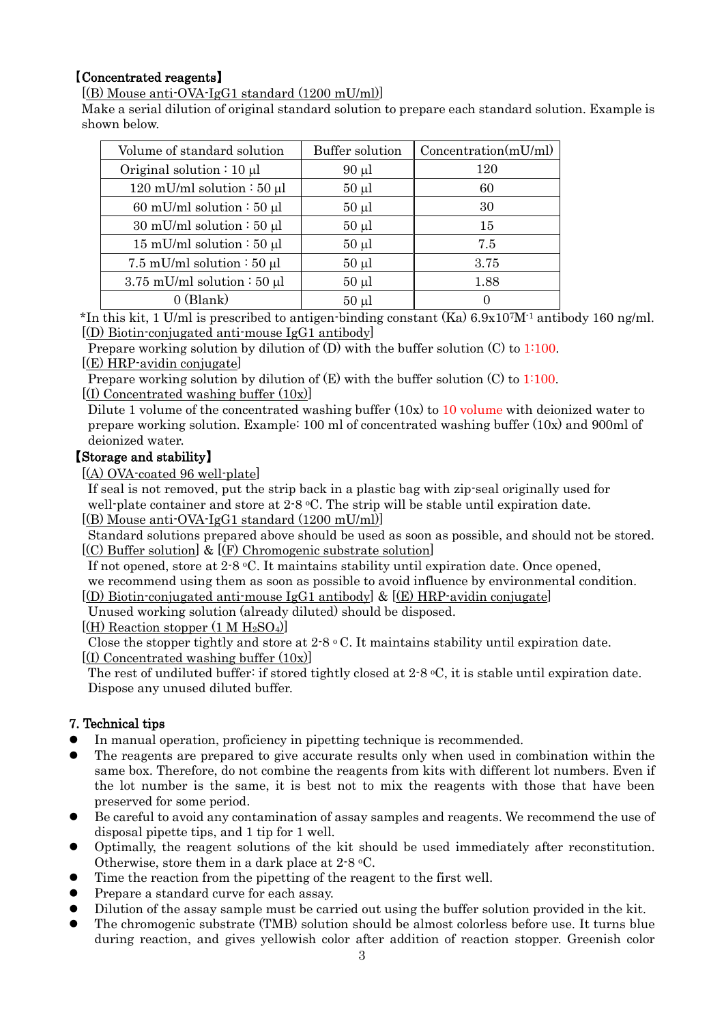# 【Concentrated reagents】

[(B) Mouse anti-OVA-IgG1 standard (1200 mU/ml)]

Make a serial dilution of original standard solution to prepare each standard solution. Example is shown below.

| Volume of standard solution     | <b>Buffer solution</b> | Concentration(mU/ml) |
|---------------------------------|------------------------|----------------------|
| Original solution : $10 \mu l$  | $90 \mu l$             | 120                  |
| 120 mU/ml solution : 50 $\mu$ l | $50 \mu l$             | 60                   |
| 60 mU/ml solution : 50 $\mu$ l  | $50 \mu l$             | 30                   |
| 30 mU/ml solution $: 50 \mu l$  | $50 \mu l$             | 15                   |
| 15 mU/ml solution $: 50 \mu$ l  | $50 \mu l$             | 7.5                  |
| 7.5 mU/ml solution : 50 $\mu$ l | $50 \mu l$             | 3.75                 |
| 3.75 mU/ml solution $:50 \mu l$ | $50 \mu l$             | 1.88                 |
| $0$ (Blank)                     | $50 \mu l$             |                      |

\*In this kit, 1 U/ml is prescribed to antigen-binding constant (Ka) 6.9x107M-1 antibody 160 ng/ml. [(D) Biotin-conjugated anti-mouse IgG1 antibody]

Prepare working solution by dilution of  $(D)$  with the buffer solution  $(C)$  to 1:100. [(E) HRP-avidin conjugate]

Prepare working solution by dilution of  $(E)$  with the buffer solution  $(C)$  to 1:100.  $[(I)$  Concentrated washing buffer  $(10x)]$ 

Dilute 1 volume of the concentrated washing buffer  $(10x)$  to 10 volume with deionized water to prepare working solution. Example: 100 ml of concentrated washing buffer (10x) and 900ml of deionized water.

# 【Storage and stability】

[(A) OVA-coated 96 well-plate]

 If seal is not removed, put the strip back in a plastic bag with zip-seal originally used for well-plate container and store at  $2.8 \text{ °C}$ . The strip will be stable until expiration date. [(B) Mouse anti-OVA-IgG1 standard (1200 mU/ml)]

Standard solutions prepared above should be used as soon as possible, and should not be stored.  $(C)$  Buffer solution] &  $(F)$  Chromogenic substrate solution]

If not opened, store at  $2.8 \text{ °C}$ . It maintains stability until expiration date. Once opened, we recommend using them as soon as possible to avoid influence by environmental condition.

 $[(D)$  Biotin-conjugated anti-mouse IgG1 antibody &  $[(E)$  HRP-avidin conjugate

Unused working solution (already diluted) should be disposed.

 $[(H)$  Reaction stopper  $(1 M H_2SO_4)]$ 

Close the stopper tightly and store at  $2.8 \text{ °C}$ . It maintains stability until expiration date.  $[(I)$  Concentrated washing buffer  $(10x)]$ 

The rest of undiluted buffer: if stored tightly closed at 2-8 °C, it is stable until expiration date. Dispose any unused diluted buffer.

# 7. Technical tips

- In manual operation, proficiency in pipetting technique is recommended.
- The reagents are prepared to give accurate results only when used in combination within the same box. Therefore, do not combine the reagents from kits with different lot numbers. Even if the lot number is the same, it is best not to mix the reagents with those that have been preserved for some period.
- Be careful to avoid any contamination of assay samples and reagents. We recommend the use of disposal pipette tips, and 1 tip for 1 well.
- Optimally, the reagent solutions of the kit should be used immediately after reconstitution. Otherwise, store them in a dark place at 2-8 oC.
- Time the reaction from the pipetting of the reagent to the first well.
- Prepare a standard curve for each assay.
- Dilution of the assay sample must be carried out using the buffer solution provided in the kit.
- The chromogenic substrate (TMB) solution should be almost colorless before use. It turns blue during reaction, and gives yellowish color after addition of reaction stopper. Greenish color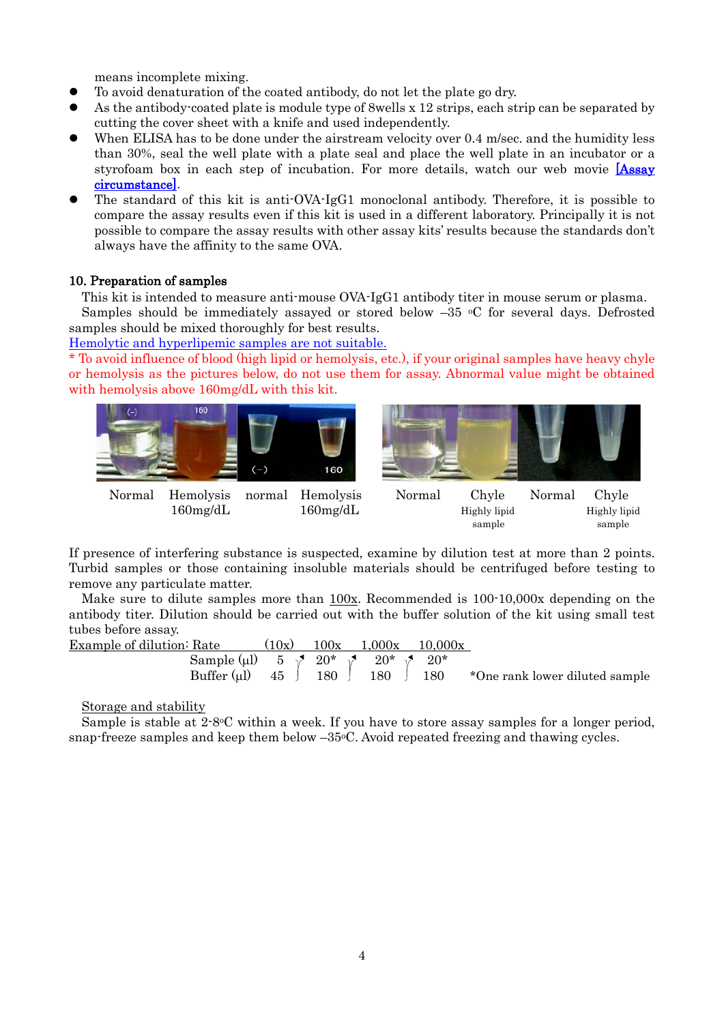means incomplete mixing.

- To avoid denaturation of the coated antibody, do not let the plate go dry.
- As the antibody-coated plate is module type of 8wells x 12 strips, each strip can be separated by cutting the cover sheet with a knife and used independently.
- When ELISA has to be done under the airstream velocity over 0.4 m/sec. and the humidity less than 30%, seal the well plate with a plate seal and place the well plate in an incubator or a styrofoam box in each step of incubation. For more details, watch our web movie [Assay] [circumstance\].](http://www.shibayagi.co.jp/en/movie_008.html)
- The standard of this kit is anti-OVA-IgG1 monoclonal antibody. Therefore, it is possible to compare the assay results even if this kit is used in a different laboratory. Principally it is not possible to compare the assay results with other assay kits' results because the standards don't always have the affinity to the same OVA.

## 10. Preparation of samples

This kit is intended to measure anti-mouse OVA-IgG1 antibody titer in mouse serum or plasma. Samples should be immediately assayed or stored below  $-35$  °C for several days. Defrosted samples should be mixed thoroughly for best results.

[Hemolytic and hyperlipemic samples are not suitable.](http://www.shibayagi.co.jp/en/pdf/Hemolysis_and_chyle.pdf)

\* To avoid influence of blood (high lipid or hemolysis, etc.), if your original samples have heavy chyle or hemolysis as the pictures below, do not use them for assay. Abnormal value might be obtained with hemolysis above 160mg/dL with this kit.



If presence of interfering substance is suspected, examine by dilution test at more than 2 points. Turbid samples or those containing insoluble materials should be centrifuged before testing to remove any particulate matter.

 Make sure to dilute samples more than 100x. Recommended is 100-10,000x depending on the antibody titer. Dilution should be carried out with the buffer solution of the kit using small test tubes before assay.

| <b>Example of dilution: Rate</b>                                      | (10x) | $100x$ $1,000x$ $10,000x$ |                                                                            |
|-----------------------------------------------------------------------|-------|---------------------------|----------------------------------------------------------------------------|
| Sample (µ1) 5 $\sqrt{20^*}$ $\sqrt{20^*}$ $\sqrt{20^*}$ $\sqrt{20^*}$ |       |                           | Buffer (µ1) $45 \int 180 \int 180 \int 180$ *One rank lower diluted sample |

Storage and stability

Sample is stable at  $2.8\textdegree C$  within a week. If you have to store assay samples for a longer period, snap-freeze samples and keep them below  $-35\degree$ C. Avoid repeated freezing and thawing cycles.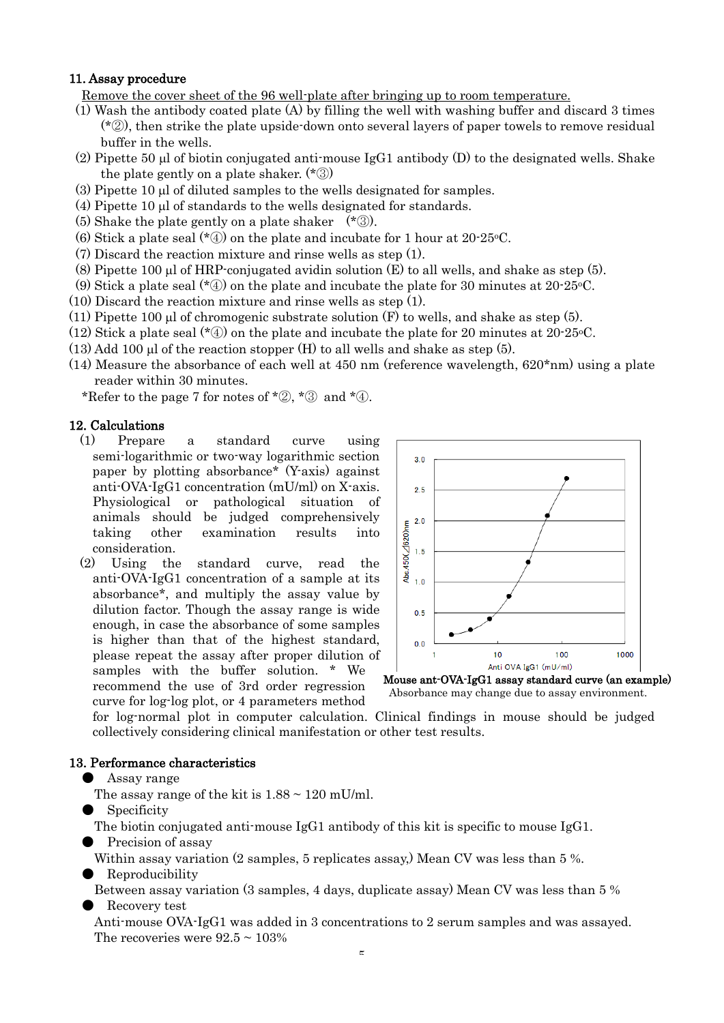## 11. Assay procedure

Remove the cover sheet of the 96 well-plate after bringing up to room temperature.

- (1) Wash the antibody coated plate (A) by filling the well with washing buffer and discard 3 times (\*②), then strike the plate upside-down onto several layers of paper towels to remove residual buffer in the wells.
- (2) Pipette 50 µl of biotin conjugated anti-mouse IgG1 antibody (D) to the designated wells. Shake the plate gently on a plate shaker. (\*③)
- (3) Pipette 10 µl of diluted samples to the wells designated for samples.
- (4) Pipette 10 µl of standards to the wells designated for standards.
- (5) Shake the plate gently on a plate shaker (\*③).
- (6) Stick a plate seal  $(*\mathbb{Q})$  on the plate and incubate for 1 hour at 20-25 °C.
- (7) Discard the reaction mixture and rinse wells as step (1).
- (8) Pipette 100  $\mu$ l of HRP-conjugated avidin solution (E) to all wells, and shake as step (5).
- (9) Stick a plate seal ( $*(4)$ ) on the plate and incubate the plate for 30 minutes at 20-25 °C.
- (10) Discard the reaction mixture and rinse wells as step (1).
- $(11)$  Pipette 100 ul of chromogenic substrate solution  $(F)$  to wells, and shake as step (5).
- (12) Stick a plate seal  $(*\mathcal{D})$  on the plate and incubate the plate for 20 minutes at 20-25 °C.
- $(13)$  Add 100 µl of the reaction stopper  $(H)$  to all wells and shake as step  $(5)$ .
- $(14)$  Measure the absorbance of each well at 450 nm (reference wavelength,  $620*nm$ ) using a plate reader within 30 minutes.

\*Refer to the page 7 for notes of  $*(2, *3)$  and  $*(4)$ .

#### 12. Calculations

- (1) Prepare a standard curve using semi-logarithmic or two-way logarithmic section paper by plotting absorbance\* (Y-axis) against anti-OVA-IgG1 concentration (mU/ml) on X-axis. Physiological or pathological situation of animals should be judged comprehensively taking other examination results into consideration.
- (2) Using the standard curve, read the anti-OVA-IgG1 concentration of a sample at its absorbance\*, and multiply the assay value by dilution factor. Though the assay range is wide enough, in case the absorbance of some samples is higher than that of the highest standard, please repeat the assay after proper dilution of samples with the buffer solution. \* We recommend the use of 3rd order regression curve for log-log plot, or 4 parameters method



Mouse ant-OVA-IgG1 assay standard curve (an example) Absorbance may change due to assay environment.

for log-normal plot in computer calculation. Clinical findings in mouse should be judged collectively considering clinical manifestation or other test results.

### 13. Performance characteristics

- Assay range
	- The assay range of the kit is  $1.88 \sim 120$  mU/ml.
- Specificity

The biotin conjugated anti-mouse IgG1 antibody of this kit is specific to mouse IgG1.

Precision of assay

Within assay variation (2 samples, 5 replicates assay.) Mean CV was less than 5 %.

● Reproducibility

 Between assay variation (3 samples, 4 days, duplicate assay) Mean CV was less than 5 % Recovery test

 Anti-mouse OVA-IgG1 was added in 3 concentrations to 2 serum samples and was assayed. The recoveries were  $92.5 \sim 103\%$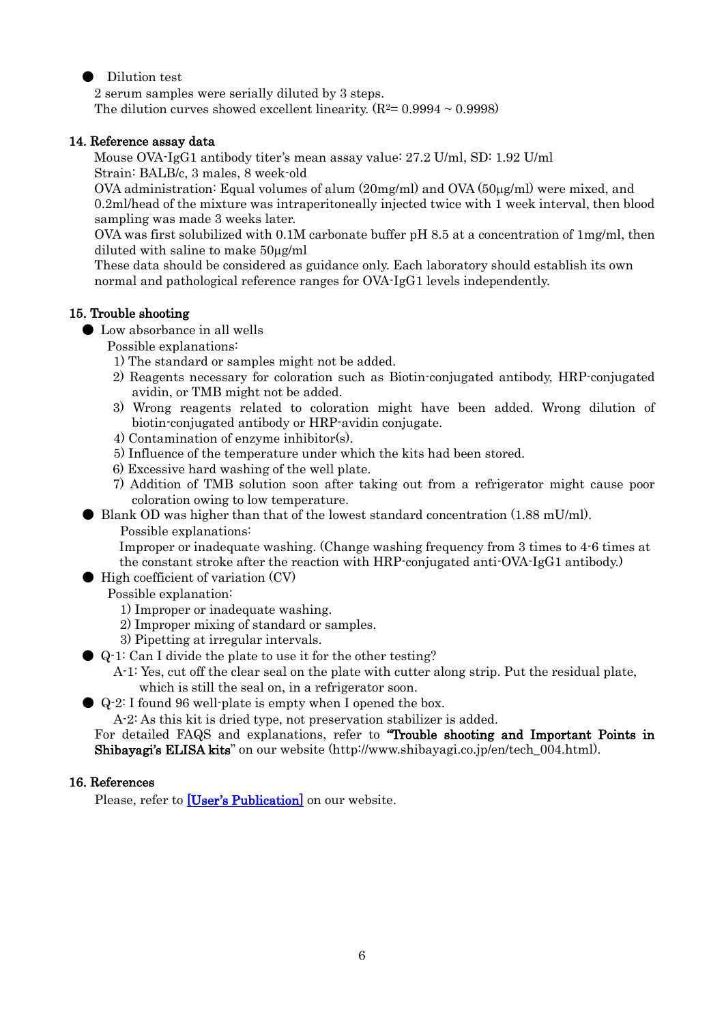## ● Dilution test

 2 serum samples were serially diluted by 3 steps. The dilution curves showed excellent linearity.  $(R^2=0.9994 \sim 0.9998)$ 

## 14. Reference assay data

 Mouse OVA-IgG1 antibody titer's mean assay value: 27.2 U/ml, SD: 1.92 U/ml Strain: BALB/c, 3 males, 8 week-old

 OVA administration: Equal volumes of alum (20mg/ml) and OVA (50µg/ml) were mixed, and 0.2ml/head of the mixture was intraperitoneally injected twice with 1 week interval, then blood sampling was made 3 weeks later.

OVA was first solubilized with 0.1M carbonate buffer pH 8.5 at a concentration of 1mg/ml, then diluted with saline to make 50µg/ml

These data should be considered as guidance only. Each laboratory should establish its own normal and pathological reference ranges for OVA-IgG1 levels independently.

## 15. Trouble shooting

● Low absorbance in all wells

Possible explanations:

- 1) The standard or samples might not be added.
- 2) Reagents necessary for coloration such as Biotin-conjugated antibody, HRP-conjugated avidin, or TMB might not be added.
- 3) Wrong reagents related to coloration might have been added. Wrong dilution of biotin-conjugated antibody or HRP-avidin conjugate.
- 4) Contamination of enzyme inhibitor(s).
- 5) Influence of the temperature under which the kits had been stored.
- 6) Excessive hard washing of the well plate.
- 7) Addition of TMB solution soon after taking out from a refrigerator might cause poor coloration owing to low temperature.
- $\bullet$  Blank OD was higher than that of the lowest standard concentration (1.88 mU/ml).
	- Possible explanations:

Improper or inadequate washing. (Change washing frequency from 3 times to 4-6 times at the constant stroke after the reaction with HRP-conjugated anti-OVA-IgG1 antibody.)

- High coefficient of variation (CV)
	- Possible explanation:
		- 1) Improper or inadequate washing.
		- 2) Improper mixing of standard or samples.
		- 3) Pipetting at irregular intervals.
- Q-1: Can I divide the plate to use it for the other testing?

 A-1: Yes, cut off the clear seal on the plate with cutter along strip. Put the residual plate, which is still the seal on, in a refrigerator soon.

● Q-2: I found 96 well-plate is empty when I opened the box.

A-2: As this kit is dried type, not preservation stabilizer is added.

For detailed FAQS and explanations, refer to "Trouble shooting and Important Points in Shibayagi's ELISA kits" on our website (http://www.shibayagi.co.jp/en/tech\_004.html).

## 16. References

Please, refer to [\[User's Publication\]](http://www.shibayagi.co.jp/en/publication.html) on our website.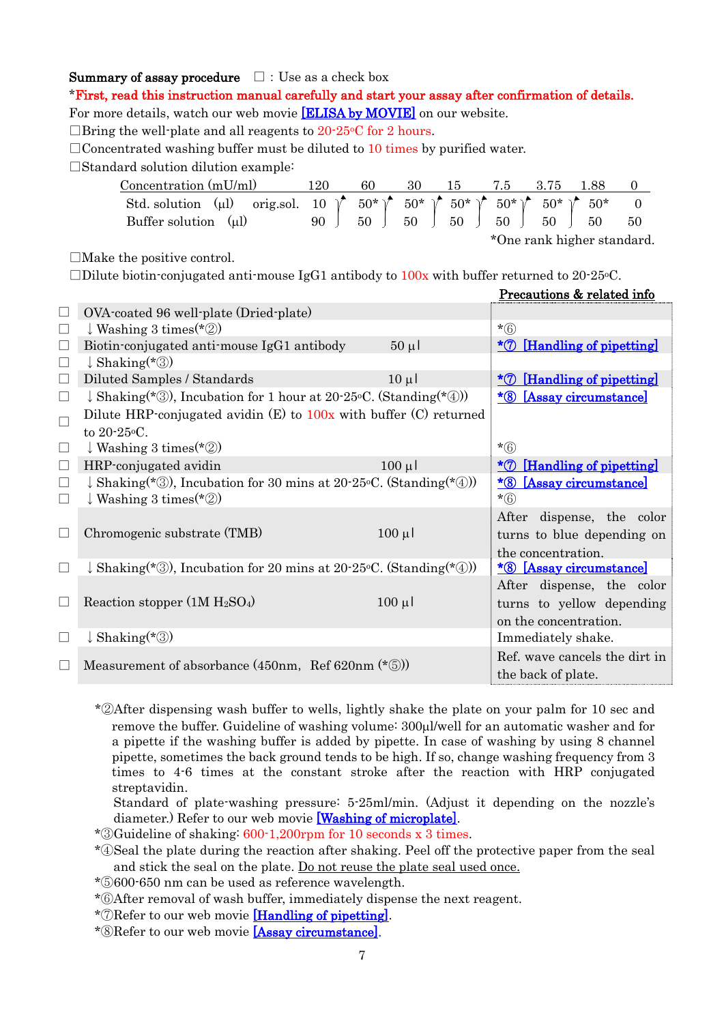## **Summary of assay procedure**  $\Box$ : Use as a check box

\*First, read this instruction manual carefully and start your assay after confirmation of details.

For more details, watch our web movie [\[ELISA by MOVIE\]](http://www.shibayagi.co.jp/en/movie.html) on our website.

 $\Box$ Bring the well-plate and all reagents to 20-25 °C for 2 hours.

 $\Box$ Concentrated washing buffer must be diluted to 10 times by purified water.

□Standard solution dilution example:

| Concentration $(mU/ml)$                             | 120 | 60 | 30 | 15 | 7.5.                                                                                                               |                            |    |    |
|-----------------------------------------------------|-----|----|----|----|--------------------------------------------------------------------------------------------------------------------|----------------------------|----|----|
| orig.sol. 10 $\sqrt{\ }$<br>Std. solution $(\mu l)$ |     |    |    |    | $50^*$ $\uparrow$ $50^*$ $\uparrow$ $50^*$ $\uparrow$ $50^*$ $\uparrow$ $50^*$ $\uparrow$ $50^*$ $\uparrow$ $50^*$ |                            |    |    |
| Buffer solution<br>(u)                              | 90  | 50 | 50 | 50 | 50 <sub>1</sub>                                                                                                    | 50                         | 50 | 50 |
|                                                     |     |    |    |    |                                                                                                                    | *One rank higher standard. |    |    |

 $\Box$ Make the positive control.

 $\Box$ Dilute biotin-conjugated anti-mouse IgG1 antibody to  $100x$  with buffer returned to 20-25 °C.

|              |                                                                              |             | <u>Precautions &amp; related infor</u>           |  |  |  |
|--------------|------------------------------------------------------------------------------|-------------|--------------------------------------------------|--|--|--|
|              | OVA-coated 96 well-plate (Dried-plate)                                       |             |                                                  |  |  |  |
| $\Box$       | $\downarrow$ Washing 3 times (*2)                                            |             | $*(6)$                                           |  |  |  |
| $\Box$       | Biotin-conjugated anti-mouse IgG1 antibody                                   | $50 \mu$    | $*$ [Handling of pipetting]                      |  |  |  |
| $\Box$       | $\downarrow$ Shaking(*③)                                                     |             |                                                  |  |  |  |
| $\Box$       | Diluted Samples / Standards                                                  | $10 \mu$    | <u>*7 [Handling of pipetting]</u>                |  |  |  |
| $\Box$       | $\downarrow$ Shaking(*③), Incubation for 1 hour at 20-25 °C. (Standing(*④))  |             | <u>*8 [Assay circumstance]</u>                   |  |  |  |
| $\Box$       | Dilute HRP-conjugated avidin $(E)$ to $100x$ with buffer $(C)$ returned      |             |                                                  |  |  |  |
|              | to 20-25 °C.                                                                 |             |                                                  |  |  |  |
| $\Box$       | $\downarrow$ Washing 3 times (*2)                                            |             | $*(6)$                                           |  |  |  |
| $\Box$       | HRP-conjugated avidin                                                        | $100 \mu l$ | $*$ [Handling of pipetting]                      |  |  |  |
| $\Box$       | $\downarrow$ Shaking(*③), Incubation for 30 mins at 20-25 °C. (Standing(*④)) |             | <u>*8 [Assay circumstance]</u>                   |  |  |  |
| $\Box$       | $\downarrow$ Washing 3 times (*2)                                            |             | $*(6)$                                           |  |  |  |
|              |                                                                              |             | After dispense, the color                        |  |  |  |
| $\mathbf{L}$ | Chromogenic substrate (TMB)                                                  | $100 \mu$   | turns to blue depending on                       |  |  |  |
|              |                                                                              |             | the concentration.                               |  |  |  |
| $\Box$       | $\downarrow$ Shaking(*3), Incubation for 20 mins at 20-25 °C. (Standing(*4)) |             | <u><i>*</i><sub>8</sub> [Assay circumstance]</u> |  |  |  |
|              |                                                                              |             | After dispense, the color                        |  |  |  |
|              | Reaction stopper $(1M H_2SO_4)$                                              | $100 \mu$   | turns to yellow depending                        |  |  |  |
|              |                                                                              |             | on the concentration.                            |  |  |  |
| $\mathbf{L}$ | $\downarrow$ Shaking(*③)                                                     |             | Immediately shake.                               |  |  |  |
|              |                                                                              |             | Ref. wave cancels the dirt in                    |  |  |  |
|              | Measurement of absorbance $(450nm, Ref 620nm (* 5))$                         |             | the back of plate.                               |  |  |  |

\*②After dispensing wash buffer to wells, lightly shake the plate on your palm for 10 sec and remove the buffer. Guideline of washing volume: 300µl/well for an automatic washer and for a pipette if the washing buffer is added by pipette. In case of washing by using 8 channel pipette, sometimes the back ground tends to be high. If so, change washing frequency from 3 times to 4-6 times at the constant stroke after the reaction with HRP conjugated streptavidin.

Standard of plate-washing pressure: 5-25ml/min. (Adjust it depending on the nozzle's diameter.) Refer to our web movie **[Washing of microplate]**.

\*③Guideline of shaking: 600-1,200rpm for 10 seconds x 3 times.

\*④Seal the plate during the reaction after shaking. Peel off the protective paper from the seal and stick the seal on the plate. Do not reuse the plate seal used once.

\*⑤600-650 nm can be used as reference wavelength.

\*⑥After removal of wash buffer, immediately dispense the next reagent.

\*⑦Refer to our web movie [\[Handling of pipetting\].](http://www.shibayagi.co.jp/en/movie_004.html)

\*⑧Refer to our web movie [\[Assay circumstance\].](http://www.shibayagi.co.jp/en/movie_008.html)